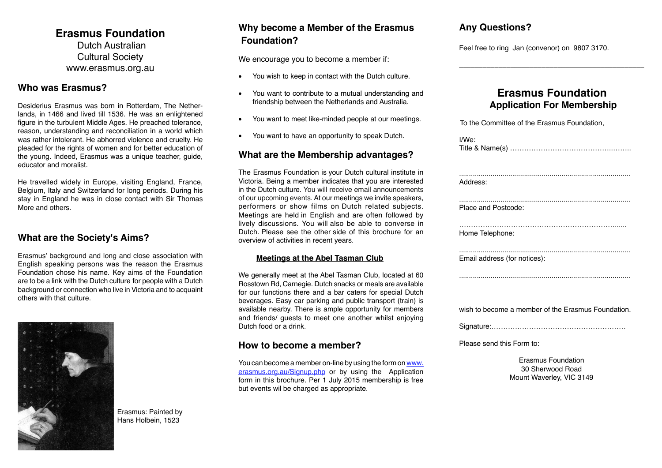# **Erasmus Foundation**

 Dutch Australian Cultural Society www.erasmus.org.au

#### **Who was Erasmus?**

Desiderius Erasmus was born in Rotterdam, The Netherlands, in 1466 and lived till 1536. He was an enlightened figure in the turbulent Middle Ages. He preached tolerance, reason, understanding and reconciliation in a world which was rather intolerant. He abhorred violence and cruelty. He pleaded for the rights of women and for better education of the young. Indeed, Erasmus was a unique teacher, guide, educator and moralist.

He travelled widely in Europe, visiting England, France, Belgium, Italy and Switzerland for long periods. During his stay in England he was in close contact with Sir Thomas More and others.

### **What are the Society's Aims?**

Erasmus' background and long and close association with English speaking persons was the reason the Erasmus Foundation chose his name. Key aims of the Foundation are to be a link with the Dutch culture for people with a Dutch background or connection who live in Victoria and to acquaint others with that culture.



Erasmus: Painted by Hans Holbein, 1523

# **Foundation? Why become a Member of the Erasmus Any Questions?**

We encourage you to become a member if:

- You wish to keep in contact with the Dutch culture.
- • You want to contribute to a mutual understanding and friendship between the Netherlands and Australia.
- • You want to meet like-minded people at our meetings.
- You want to have an opportunity to speak Dutch.

#### **What are the Membership advantages?**

The Erasmus Foundation is your Dutch cultural institute in Victoria. Being a member indicates that you are interested in the Dutch culture. You will receive email announcements of our upcoming events. At our meetings we invite speakers, performers or show films on Dutch related subjects. Meetings are held in English and are often followed by lively discussions. You will also be able to converse in Dutch. Please see the other side of this brochure for an overview of activities in recent years.

#### **Meetings at the Abel Tasman Club**

We generally meet at the Abel Tasman Club, located at 60 Rosstown Rd, Carnegie. Dutch snacks or meals are available for our functions there and a bar caters for special Dutch beverages. Easy car parking and public transport (train) is available nearby. There is ample opportunity for members and friends/ guests to meet one another whilst enjoying Dutch food or a drink.

#### **How to become a member?**

You can become a member on-line by using the form on [www.](http://www.erasmus.org.au/Signup.php) [erasmus.org.au/Signup.php](http://www.erasmus.org.au/Signup.php) or by using the Application form in this brochure. Per 1 July 2015 membership is free but events wil be charged as appropriate.

Feel free to ring Jan (convenor) on 9807 3170.

# **Erasmus Foundation Application For Membership**

 $\overline{\phantom{a}}$  , and the set of the set of the set of the set of the set of the set of the set of the set of the set of the set of the set of the set of the set of the set of the set of the set of the set of the set of the s

| To the Committee of the Erasmus Foundation,        |
|----------------------------------------------------|
| $I/We$ :                                           |
| Address:                                           |
| Place and Postcode:                                |
| Home Telephone:                                    |
| Email address (for notices):                       |
|                                                    |
| wish to become a member of the Erasmus Foundation. |
|                                                    |
| Please send this Form to:                          |
|                                                    |

Erasmus Foundation 30 Sherwood Road Mount Waverley, VIC 3149